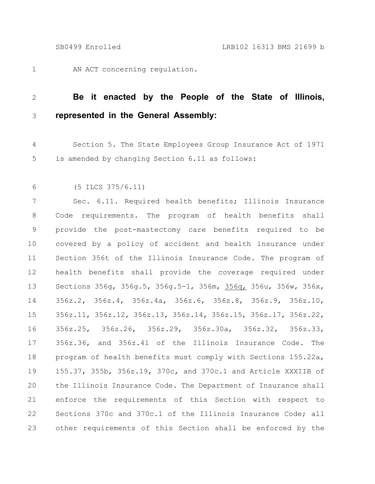1

AN ACT concerning regulation.

## **Be it enacted by the People of the State of Illinois, represented in the General Assembly:** 2 3

Section 5. The State Employees Group Insurance Act of 1971 is amended by changing Section 6.11 as follows: 4 5

(5 ILCS 375/6.11) 6

Sec. 6.11. Required health benefits; Illinois Insurance Code requirements. The program of health benefits shall provide the post-mastectomy care benefits required to be covered by a policy of accident and health insurance under Section 356t of the Illinois Insurance Code. The program of health benefits shall provide the coverage required under Sections 356g, 356g.5, 356g.5-1, 356m, 356q, 356u, 356w, 356x, 356z.2, 356z.4, 356z.4a, 356z.6, 356z.8, 356z.9, 356z.10, 356z.11, 356z.12, 356z.13, 356z.14, 356z.15, 356z.17, 356z.22, 356z.25, 356z.26, 356z.29, 356z.30a, 356z.32, 356z.33, 356z.36, and 356z.41 of the Illinois Insurance Code. The program of health benefits must comply with Sections 155.22a, 155.37, 355b, 356z.19, 370c, and 370c.1 and Article XXXIIB of the Illinois Insurance Code. The Department of Insurance shall enforce the requirements of this Section with respect to Sections 370c and 370c.1 of the Illinois Insurance Code; all other requirements of this Section shall be enforced by the 7 8 9 10 11 12 13 14 15 16 17 18 19 20 21 22 23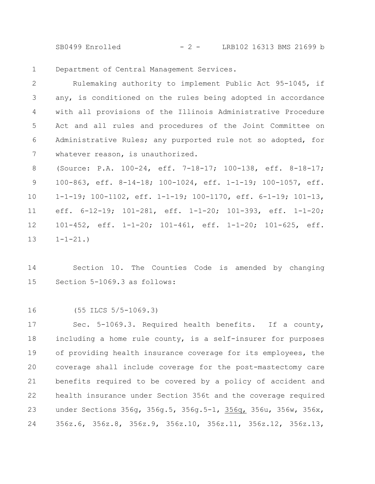SB0499 Enrolled - 2 - LRB102 16313 BMS 21699 b

Department of Central Management Services. 1

Rulemaking authority to implement Public Act 95-1045, if any, is conditioned on the rules being adopted in accordance with all provisions of the Illinois Administrative Procedure Act and all rules and procedures of the Joint Committee on Administrative Rules; any purported rule not so adopted, for whatever reason, is unauthorized. 2 3 4 5 6 7

(Source: P.A. 100-24, eff. 7-18-17; 100-138, eff. 8-18-17; 100-863, eff. 8-14-18; 100-1024, eff. 1-1-19; 100-1057, eff. 1-1-19; 100-1102, eff. 1-1-19; 100-1170, eff. 6-1-19; 101-13, eff. 6-12-19; 101-281, eff. 1-1-20; 101-393, eff. 1-1-20; 101-452, eff. 1-1-20; 101-461, eff. 1-1-20; 101-625, eff.  $1 - 1 - 21.$ 8 9 10 11 12 13

Section 10. The Counties Code is amended by changing Section 5-1069.3 as follows: 14 15

(55 ILCS 5/5-1069.3) 16

Sec. 5-1069.3. Required health benefits. If a county, including a home rule county, is a self-insurer for purposes of providing health insurance coverage for its employees, the coverage shall include coverage for the post-mastectomy care benefits required to be covered by a policy of accident and health insurance under Section 356t and the coverage required under Sections 356g, 356g.5, 356g.5-1, 356q, 356u, 356w, 356x, 356z.6, 356z.8, 356z.9, 356z.10, 356z.11, 356z.12, 356z.13, 17 18 19 20 21 22 23 24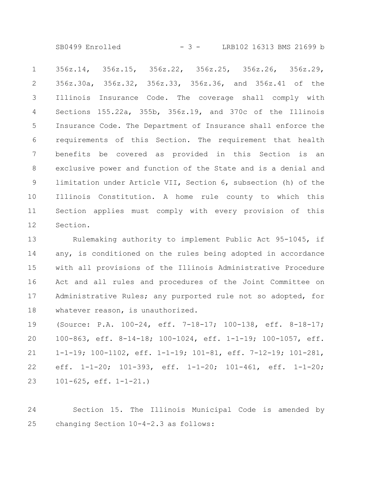SB0499 Enrolled - 3 - LRB102 16313 BMS 21699 b

356z.14, 356z.15, 356z.22, 356z.25, 356z.26, 356z.29, 356z.30a, 356z.32, 356z.33, 356z.36, and 356z.41 of the Illinois Insurance Code. The coverage shall comply with Sections 155.22a, 355b, 356z.19, and 370c of the Illinois Insurance Code. The Department of Insurance shall enforce the requirements of this Section. The requirement that health benefits be covered as provided in this Section is an exclusive power and function of the State and is a denial and limitation under Article VII, Section 6, subsection (h) of the Illinois Constitution. A home rule county to which this Section applies must comply with every provision of this Section. 1 2 3 4 5 6 7 8 9 10 11 12

Rulemaking authority to implement Public Act 95-1045, if any, is conditioned on the rules being adopted in accordance with all provisions of the Illinois Administrative Procedure Act and all rules and procedures of the Joint Committee on Administrative Rules; any purported rule not so adopted, for whatever reason, is unauthorized. 13 14 15 16 17 18

(Source: P.A. 100-24, eff. 7-18-17; 100-138, eff. 8-18-17; 100-863, eff. 8-14-18; 100-1024, eff. 1-1-19; 100-1057, eff. 1-1-19; 100-1102, eff. 1-1-19; 101-81, eff. 7-12-19; 101-281, eff. 1-1-20; 101-393, eff. 1-1-20; 101-461, eff. 1-1-20; 101-625, eff. 1-1-21.) 19 20 21 22 23

Section 15. The Illinois Municipal Code is amended by changing Section 10-4-2.3 as follows: 24 25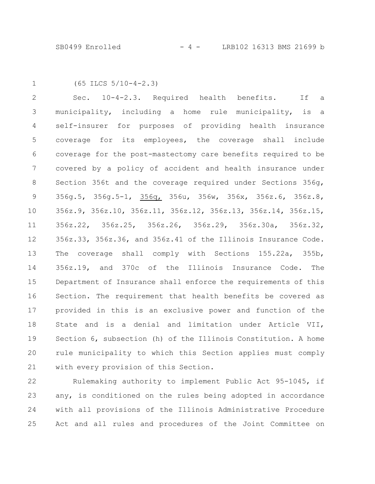1

(65 ILCS 5/10-4-2.3)

Sec. 10-4-2.3. Required health benefits. If a municipality, including a home rule municipality, is a self-insurer for purposes of providing health insurance coverage for its employees, the coverage shall include coverage for the post-mastectomy care benefits required to be covered by a policy of accident and health insurance under Section 356t and the coverage required under Sections 356g, 356g.5, 356g.5-1, 356q, 356u, 356w, 356x, 356z.6, 356z.8, 356z.9, 356z.10, 356z.11, 356z.12, 356z.13, 356z.14, 356z.15, 356z.22, 356z.25, 356z.26, 356z.29, 356z.30a, 356z.32, 356z.33, 356z.36, and 356z.41 of the Illinois Insurance Code. The coverage shall comply with Sections 155.22a, 355b, 356z.19, and 370c of the Illinois Insurance Code. The Department of Insurance shall enforce the requirements of this Section. The requirement that health benefits be covered as provided in this is an exclusive power and function of the State and is a denial and limitation under Article VII, Section 6, subsection (h) of the Illinois Constitution. A home rule municipality to which this Section applies must comply with every provision of this Section. 2 3 4 5 6 7 8 9 10 11 12 13 14 15 16 17 18 19 20 21

Rulemaking authority to implement Public Act 95-1045, if any, is conditioned on the rules being adopted in accordance with all provisions of the Illinois Administrative Procedure Act and all rules and procedures of the Joint Committee on 22 23 24 25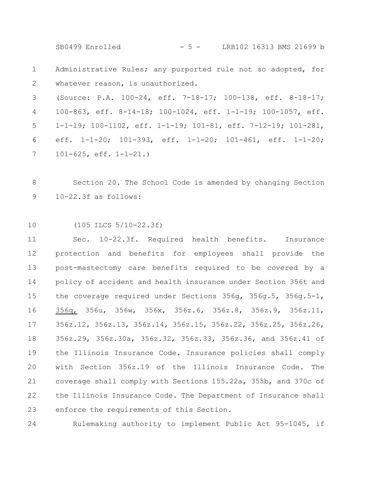SB0499 Enrolled - 5 - LRB102 16313 BMS 21699 b

Administrative Rules; any purported rule not so adopted, for whatever reason, is unauthorized. 1 2

(Source: P.A. 100-24, eff. 7-18-17; 100-138, eff. 8-18-17; 100-863, eff. 8-14-18; 100-1024, eff. 1-1-19; 100-1057, eff. 1-1-19; 100-1102, eff. 1-1-19; 101-81, eff. 7-12-19; 101-281, eff. 1-1-20; 101-393, eff. 1-1-20; 101-461, eff. 1-1-20; 101-625, eff. 1-1-21.) 3 4 5 6 7

Section 20. The School Code is amended by changing Section 10-22.3f as follows: 8 9

(105 ILCS 5/10-22.3f) 10

Sec. 10-22.3f. Required health benefits. Insurance protection and benefits for employees shall provide the post-mastectomy care benefits required to be covered by a policy of accident and health insurance under Section 356t and the coverage required under Sections 356g, 356g.5, 356g.5-1, 356q, 356u, 356w, 356x, 356z.6, 356z.8, 356z.9, 356z.11, 356z.12, 356z.13, 356z.14, 356z.15, 356z.22, 356z.25, 356z.26, 356z.29, 356z.30a, 356z.32, 356z.33, 356z.36, and 356z.41 of the Illinois Insurance Code. Insurance policies shall comply with Section 356z.19 of the Illinois Insurance Code. The coverage shall comply with Sections 155.22a, 355b, and 370c of the Illinois Insurance Code. The Department of Insurance shall enforce the requirements of this Section. 11 12 13 14 15 16 17 18 19 20 21 22 23

Rulemaking authority to implement Public Act 95-1045, if 24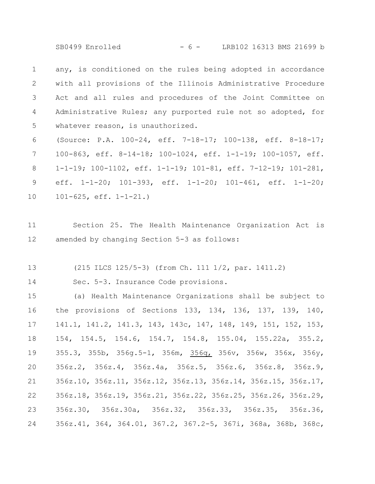SB0499 Enrolled - 6 - LRB102 16313 BMS 21699 b

any, is conditioned on the rules being adopted in accordance with all provisions of the Illinois Administrative Procedure Act and all rules and procedures of the Joint Committee on Administrative Rules; any purported rule not so adopted, for whatever reason, is unauthorized. 1 2 3 4 5

(Source: P.A. 100-24, eff. 7-18-17; 100-138, eff. 8-18-17; 100-863, eff. 8-14-18; 100-1024, eff. 1-1-19; 100-1057, eff. 1-1-19; 100-1102, eff. 1-1-19; 101-81, eff. 7-12-19; 101-281, eff. 1-1-20; 101-393, eff. 1-1-20; 101-461, eff. 1-1-20; 101-625, eff. 1-1-21.) 6 7 8 9 10

Section 25. The Health Maintenance Organization Act is amended by changing Section 5-3 as follows: 11 12

(215 ILCS 125/5-3) (from Ch. 111 1/2, par. 1411.2) 13

Sec. 5-3. Insurance Code provisions. 14

(a) Health Maintenance Organizations shall be subject to the provisions of Sections 133, 134, 136, 137, 139, 140, 141.1, 141.2, 141.3, 143, 143c, 147, 148, 149, 151, 152, 153, 154, 154.5, 154.6, 154.7, 154.8, 155.04, 155.22a, 355.2, 355.3, 355b, 356g.5-1, 356m, 356q, 356v, 356w, 356x, 356y, 356z.2, 356z.4, 356z.4a, 356z.5, 356z.6, 356z.8, 356z.9, 356z.10, 356z.11, 356z.12, 356z.13, 356z.14, 356z.15, 356z.17, 356z.18, 356z.19, 356z.21, 356z.22, 356z.25, 356z.26, 356z.29, 356z.30, 356z.30a, 356z.32, 356z.33, 356z.35, 356z.36, 356z.41, 364, 364.01, 367.2, 367.2-5, 367i, 368a, 368b, 368c, 15 16 17 18 19 20 21 22 23 24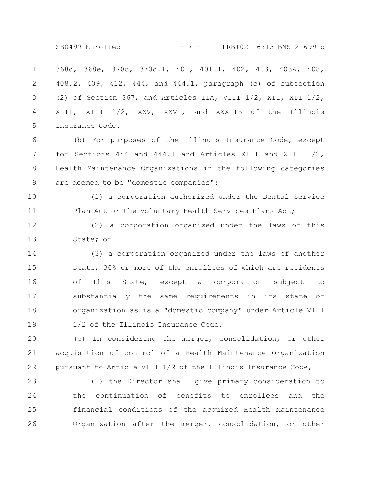SB0499 Enrolled - 7 - LRB102 16313 BMS 21699 b

368d, 368e, 370c, 370c.1, 401, 401.1, 402, 403, 403A, 408, 408.2, 409, 412, 444, and 444.1, paragraph (c) of subsection (2) of Section 367, and Articles IIA, VIII 1/2, XII, XII 1/2, XIII, XIII 1/2, XXV, XXVI, and XXXIIB of the Illinois Insurance Code. 1 2 3 4 5

(b) For purposes of the Illinois Insurance Code, except for Sections 444 and 444.1 and Articles XIII and XIII 1/2, Health Maintenance Organizations in the following categories are deemed to be "domestic companies": 6 7 8 9

(1) a corporation authorized under the Dental Service Plan Act or the Voluntary Health Services Plans Act; 10 11

(2) a corporation organized under the laws of this State; or 12 13

(3) a corporation organized under the laws of another state, 30% or more of the enrollees of which are residents of this State, except a corporation subject to substantially the same requirements in its state of organization as is a "domestic company" under Article VIII 1/2 of the Illinois Insurance Code. 14 15 16 17 18 19

(c) In considering the merger, consolidation, or other acquisition of control of a Health Maintenance Organization pursuant to Article VIII 1/2 of the Illinois Insurance Code, 20 21 22

(1) the Director shall give primary consideration to the continuation of benefits to enrollees and the financial conditions of the acquired Health Maintenance Organization after the merger, consolidation, or other 23 24 25 26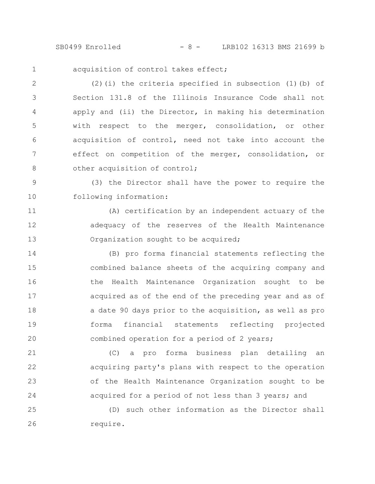SB0499 Enrolled - 8 - LRB102 16313 BMS 21699 b

acquisition of control takes effect; 1

(2)(i) the criteria specified in subsection (1)(b) of Section 131.8 of the Illinois Insurance Code shall not apply and (ii) the Director, in making his determination with respect to the merger, consolidation, or other acquisition of control, need not take into account the effect on competition of the merger, consolidation, or other acquisition of control; 2 3 4 5 6 7 8

(3) the Director shall have the power to require the following information: 9 10

(A) certification by an independent actuary of the adequacy of the reserves of the Health Maintenance Organization sought to be acquired; 11 12 13

(B) pro forma financial statements reflecting the combined balance sheets of the acquiring company and the Health Maintenance Organization sought to be acquired as of the end of the preceding year and as of a date 90 days prior to the acquisition, as well as pro forma financial statements reflecting projected combined operation for a period of 2 years; 14 15 16 17 18 19 20

(C) a pro forma business plan detailing an acquiring party's plans with respect to the operation of the Health Maintenance Organization sought to be acquired for a period of not less than 3 years; and 21 22 23 24

(D) such other information as the Director shall require. 25 26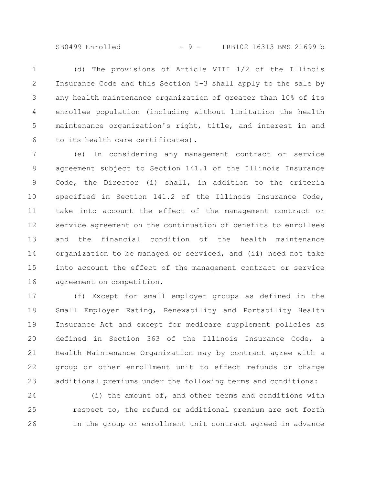SB0499 Enrolled - 9 - LRB102 16313 BMS 21699 b

(d) The provisions of Article VIII 1/2 of the Illinois Insurance Code and this Section 5-3 shall apply to the sale by any health maintenance organization of greater than 10% of its enrollee population (including without limitation the health maintenance organization's right, title, and interest in and to its health care certificates). 1 2 3 4 5 6

(e) In considering any management contract or service agreement subject to Section 141.1 of the Illinois Insurance Code, the Director (i) shall, in addition to the criteria specified in Section 141.2 of the Illinois Insurance Code, take into account the effect of the management contract or service agreement on the continuation of benefits to enrollees and the financial condition of the health maintenance organization to be managed or serviced, and (ii) need not take into account the effect of the management contract or service agreement on competition. 7 8 9 10 11 12 13 14 15 16

(f) Except for small employer groups as defined in the Small Employer Rating, Renewability and Portability Health Insurance Act and except for medicare supplement policies as defined in Section 363 of the Illinois Insurance Code, a Health Maintenance Organization may by contract agree with a group or other enrollment unit to effect refunds or charge additional premiums under the following terms and conditions: 17 18 19 20 21 22 23

(i) the amount of, and other terms and conditions with respect to, the refund or additional premium are set forth in the group or enrollment unit contract agreed in advance 24 25 26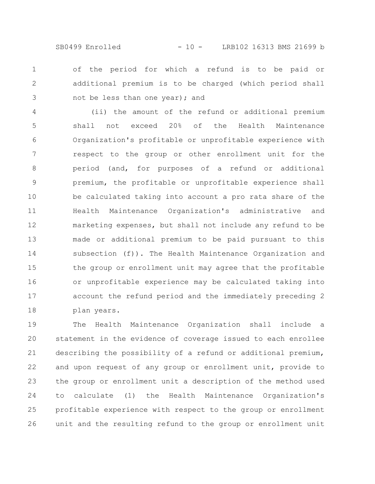SB0499 Enrolled - 10 - LRB102 16313 BMS 21699 b

of the period for which a refund is to be paid or additional premium is to be charged (which period shall not be less than one year); and 1 2 3

(ii) the amount of the refund or additional premium shall not exceed 20% of the Health Maintenance Organization's profitable or unprofitable experience with respect to the group or other enrollment unit for the period (and, for purposes of a refund or additional premium, the profitable or unprofitable experience shall be calculated taking into account a pro rata share of the Health Maintenance Organization's administrative and marketing expenses, but shall not include any refund to be made or additional premium to be paid pursuant to this subsection (f)). The Health Maintenance Organization and the group or enrollment unit may agree that the profitable or unprofitable experience may be calculated taking into account the refund period and the immediately preceding 2 plan years. 4 5 6 7 8 9 10 11 12 13 14 15 16 17 18

The Health Maintenance Organization shall include a statement in the evidence of coverage issued to each enrollee describing the possibility of a refund or additional premium, and upon request of any group or enrollment unit, provide to the group or enrollment unit a description of the method used to calculate (1) the Health Maintenance Organization's profitable experience with respect to the group or enrollment unit and the resulting refund to the group or enrollment unit 19 20 21 22 23 24 25 26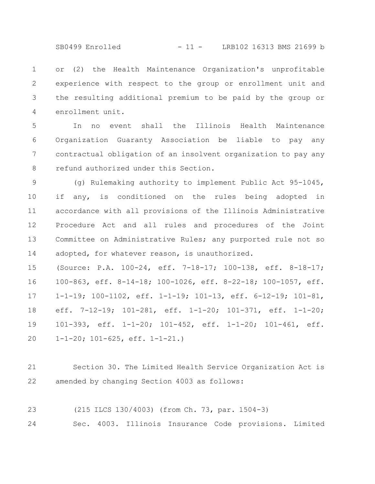SB0499 Enrolled - 11 - LRB102 16313 BMS 21699 b

or (2) the Health Maintenance Organization's unprofitable experience with respect to the group or enrollment unit and the resulting additional premium to be paid by the group or enrollment unit. 1 2 3 4

In no event shall the Illinois Health Maintenance Organization Guaranty Association be liable to pay any contractual obligation of an insolvent organization to pay any refund authorized under this Section. 5 6 7 8

(g) Rulemaking authority to implement Public Act 95-1045, if any, is conditioned on the rules being adopted in accordance with all provisions of the Illinois Administrative Procedure Act and all rules and procedures of the Joint Committee on Administrative Rules; any purported rule not so adopted, for whatever reason, is unauthorized. 9 10 11 12 13 14

(Source: P.A. 100-24, eff. 7-18-17; 100-138, eff. 8-18-17; 100-863, eff. 8-14-18; 100-1026, eff. 8-22-18; 100-1057, eff. 1-1-19; 100-1102, eff. 1-1-19; 101-13, eff. 6-12-19; 101-81, eff. 7-12-19; 101-281, eff. 1-1-20; 101-371, eff. 1-1-20; 101-393, eff. 1-1-20; 101-452, eff. 1-1-20; 101-461, eff. 1-1-20; 101-625, eff. 1-1-21.) 15 16 17 18 19 20

- Section 30. The Limited Health Service Organization Act is amended by changing Section 4003 as follows: 21 22
- (215 ILCS 130/4003) (from Ch. 73, par. 1504-3) 23

Sec. 4003. Illinois Insurance Code provisions. Limited 24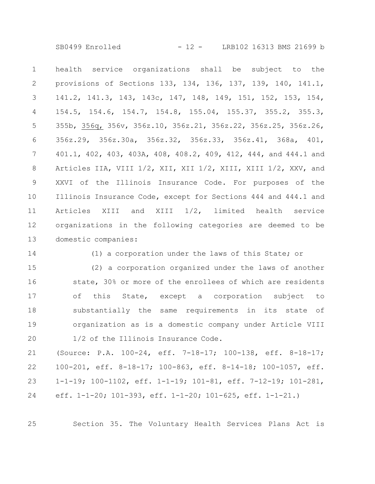SB0499 Enrolled - 12 - LRB102 16313 BMS 21699 b

health service organizations shall be subject to the provisions of Sections 133, 134, 136, 137, 139, 140, 141.1, 141.2, 141.3, 143, 143c, 147, 148, 149, 151, 152, 153, 154, 154.5, 154.6, 154.7, 154.8, 155.04, 155.37, 355.2, 355.3, 355b, 356q, 356v, 356z.10, 356z.21, 356z.22, 356z.25, 356z.26, 356z.29, 356z.30a, 356z.32, 356z.33, 356z.41, 368a, 401, 401.1, 402, 403, 403A, 408, 408.2, 409, 412, 444, and 444.1 and Articles IIA, VIII 1/2, XII, XII 1/2, XIII, XIII 1/2, XXV, and XXVI of the Illinois Insurance Code. For purposes of the Illinois Insurance Code, except for Sections 444 and 444.1 and Articles XIII and XIII 1/2, limited health service organizations in the following categories are deemed to be domestic companies: 1 2 3 4 5 6 7 8 9 10 11 12 13

14

(1) a corporation under the laws of this State; or

(2) a corporation organized under the laws of another state, 30% or more of the enrollees of which are residents of this State, except a corporation subject to substantially the same requirements in its state of organization as is a domestic company under Article VIII 1/2 of the Illinois Insurance Code. 15 16 17 18 19 20

(Source: P.A. 100-24, eff. 7-18-17; 100-138, eff. 8-18-17; 100-201, eff. 8-18-17; 100-863, eff. 8-14-18; 100-1057, eff. 1-1-19; 100-1102, eff. 1-1-19; 101-81, eff. 7-12-19; 101-281, eff. 1-1-20; 101-393, eff. 1-1-20; 101-625, eff. 1-1-21.) 21 22 23 24

Section 35. The Voluntary Health Services Plans Act is

25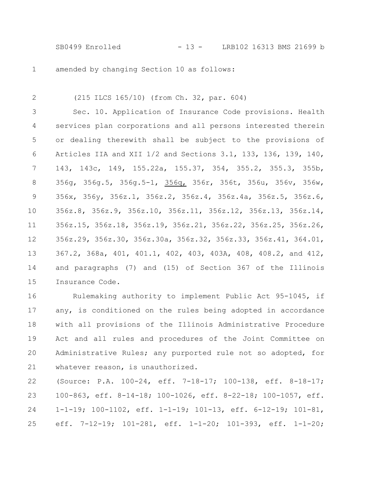SB0499 Enrolled - 13 - LRB102 16313 BMS 21699 b

amended by changing Section 10 as follows: 1

2

(215 ILCS 165/10) (from Ch. 32, par. 604)

Sec. 10. Application of Insurance Code provisions. Health services plan corporations and all persons interested therein or dealing therewith shall be subject to the provisions of Articles IIA and XII 1/2 and Sections 3.1, 133, 136, 139, 140, 143, 143c, 149, 155.22a, 155.37, 354, 355.2, 355.3, 355b, 356g, 356g.5, 356g.5-1, 356q, 356r, 356t, 356u, 356v, 356w, 356x, 356y, 356z.1, 356z.2, 356z.4, 356z.4a, 356z.5, 356z.6, 356z.8, 356z.9, 356z.10, 356z.11, 356z.12, 356z.13, 356z.14, 356z.15, 356z.18, 356z.19, 356z.21, 356z.22, 356z.25, 356z.26, 356z.29, 356z.30, 356z.30a, 356z.32, 356z.33, 356z.41, 364.01, 367.2, 368a, 401, 401.1, 402, 403, 403A, 408, 408.2, and 412, and paragraphs (7) and (15) of Section 367 of the Illinois Insurance Code. 3 4 5 6 7 8 9 10 11 12 13 14 15

Rulemaking authority to implement Public Act 95-1045, if any, is conditioned on the rules being adopted in accordance with all provisions of the Illinois Administrative Procedure Act and all rules and procedures of the Joint Committee on Administrative Rules; any purported rule not so adopted, for whatever reason, is unauthorized. 16 17 18 19 20 21

(Source: P.A. 100-24, eff. 7-18-17; 100-138, eff. 8-18-17; 100-863, eff. 8-14-18; 100-1026, eff. 8-22-18; 100-1057, eff. 1-1-19; 100-1102, eff. 1-1-19; 101-13, eff. 6-12-19; 101-81, eff. 7-12-19; 101-281, eff. 1-1-20; 101-393, eff. 1-1-20; 22 23 24 25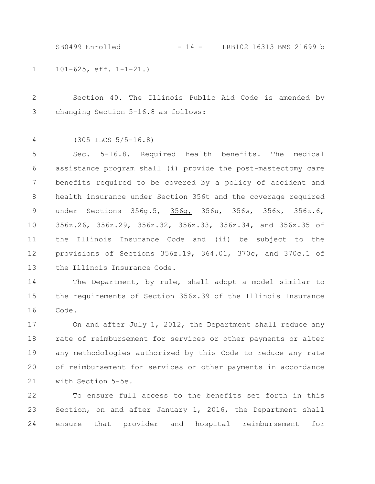101-625, eff. 1-1-21.) 1 SB0499 Enrolled - 14 - LRB102 16313 BMS 21699 b

Section 40. The Illinois Public Aid Code is amended by changing Section 5-16.8 as follows: 2 3

(305 ILCS 5/5-16.8) 4

Sec. 5-16.8. Required health benefits. The medical assistance program shall (i) provide the post-mastectomy care benefits required to be covered by a policy of accident and health insurance under Section 356t and the coverage required under Sections 356g.5, 356q, 356u, 356w, 356x, 356z.6, 356z.26, 356z.29, 356z.32, 356z.33, 356z.34, and 356z.35 of the Illinois Insurance Code and (ii) be subject to the provisions of Sections 356z.19, 364.01, 370c, and 370c.1 of the Illinois Insurance Code. 5 6 7 8 9 10 11 12 13

The Department, by rule, shall adopt a model similar to the requirements of Section 356z.39 of the Illinois Insurance Code. 14 15 16

On and after July 1, 2012, the Department shall reduce any rate of reimbursement for services or other payments or alter any methodologies authorized by this Code to reduce any rate of reimbursement for services or other payments in accordance with Section 5-5e. 17 18 19 20 21

To ensure full access to the benefits set forth in this Section, on and after January 1, 2016, the Department shall ensure that provider and hospital reimbursement for 22 23 24